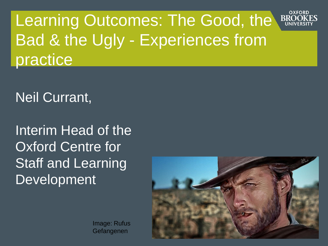OXFORD Learning Outcomes: The Good, the **RRC** Bad & the Ugly - Experiences from practice

Neil Currant,

Interim Head of the Oxford Centre for Staff and Learning Development



Image: Rufus Gefangenen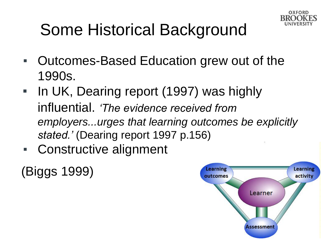

# Some Historical Background

- Outcomes-Based Education grew out of the 1990s.
- **In UK, Dearing report (1997) was highly** influential. *'The evidence received from employers...urges that learning outcomes be explicitly stated.'* (Dearing report 1997 p.156)
- Constructive alignment

(Biggs 1999)

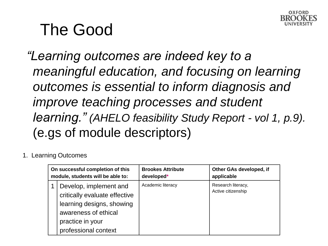

# The Good

*"Learning outcomes are indeed key to a meaningful education, and focusing on learning outcomes is essential to inform diagnosis and improve teaching processes and student learning." (AHELO feasibility Study Report - vol 1, p.9).*  (e.gs of module descriptors)

#### 1. Learning Outcomes

| On successful completion of this  |                                                                                                                                                          | <b>Brookes Attribute</b> | Other GAs developed, if                  |
|-----------------------------------|----------------------------------------------------------------------------------------------------------------------------------------------------------|--------------------------|------------------------------------------|
| module, students will be able to: |                                                                                                                                                          | developed*               | applicable                               |
|                                   | Develop, implement and<br>critically evaluate effective<br>learning designs, showing<br>awareness of ethical<br>practice in your<br>professional context | Academic literacy        | Research literacy,<br>Active citizenship |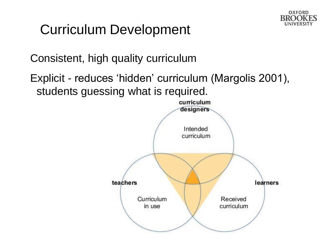

## Curriculum Development

Consistent, high quality curriculum

Explicit - reduces 'hidden' curriculum (Margolis 2001), students guessing what is required.

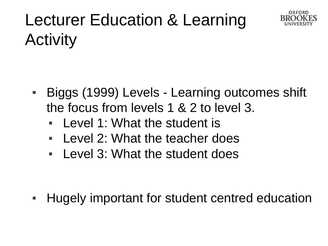

# Lecturer Education & Learning Activity

- Biggs (1999) Levels Learning outcomes shift the focus from levels 1 & 2 to level 3.
	- Level 1: What the student is
	- Level 2: What the teacher does
	- Level 3: What the student does

**EXTE:** Hugely important for student centred education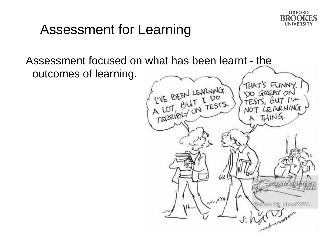

### Assessment for Learning

Assessment focused on what has been learnt - the outcomes of learning.

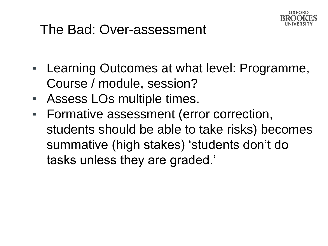

### The Bad: Over-assessment

- **EXALE:** Learning Outcomes at what level: Programme, Course / module, session?
- Assess LOs multiple times.
- **EXECTE:** Formative assessment (error correction, students should be able to take risks) becomes summative (high stakes) 'students don't do tasks unless they are graded.'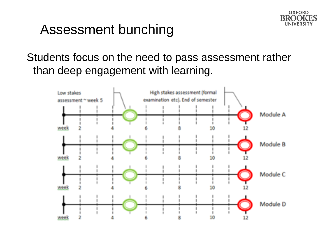

#### Assessment bunching

Students focus on the need to pass assessment rather than deep engagement with learning.

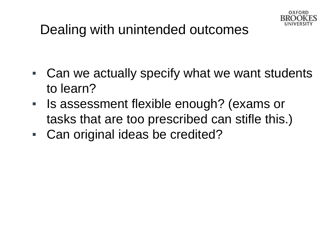

# Dealing with unintended outcomes

- Can we actually specify what we want students to learn?
- Is assessment flexible enough? (exams or tasks that are too prescribed can stifle this.)
- Can original ideas be credited?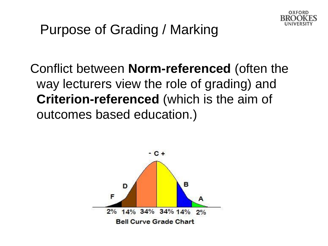

# Purpose of Grading / Marking

Conflict between **Norm-referenced** (often the way lecturers view the role of grading) and **Criterion-referenced** (which is the aim of outcomes based education.)

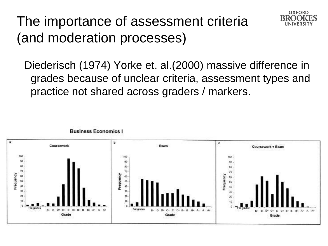# The importance of assessment criteria (and moderation processes)



Diederisch (1974) Yorke et. al.(2000) massive difference in grades because of unclear criteria, assessment types and practice not shared across graders / markers.

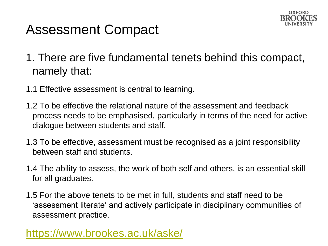

### Assessment Compact

- 1. There are five fundamental tenets behind this compact, namely that:
- 1.1 Effective assessment is central to learning.
- 1.2 To be effective the relational nature of the assessment and feedback process needs to be emphasised, particularly in terms of the need for active dialogue between students and staff.
- 1.3 To be effective, assessment must be recognised as a joint responsibility between staff and students.
- 1.4 The ability to assess, the work of both self and others, is an essential skill for all graduates.
- 1.5 For the above tenets to be met in full, students and staff need to be 'assessment literate' and actively participate in disciplinary communities of assessment practice.

#### <https://www.brookes.ac.uk/aske/>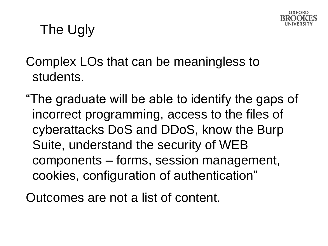

# The Ugly

Complex LOs that can be meaningless to students.

"The graduate will be able to identify the gaps of incorrect programming, access to the files of cyberattacks DoS and DDoS, know the Burp Suite, understand the security of WEB components – forms, session management, cookies, configuration of authentication"

Outcomes are not a list of content.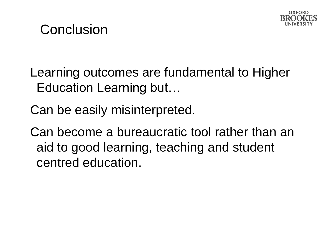

## **Conclusion**

- Learning outcomes are fundamental to Higher Education Learning but…
- Can be easily misinterpreted.

Can become a bureaucratic tool rather than an aid to good learning, teaching and student centred education.